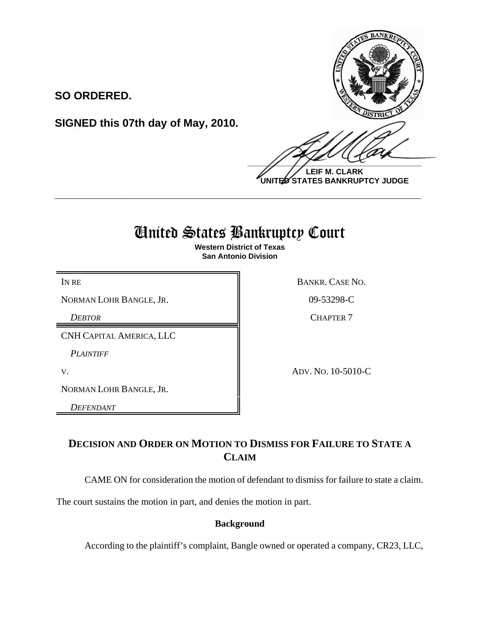

**LEIF M. CLARK UNITED STATES BANKRUPTCY JUDGE**

# United States Bankruptcy Court

**\_\_\_\_\_\_\_\_\_\_\_\_\_\_\_\_\_\_\_\_\_\_\_\_\_\_\_\_\_\_\_\_\_\_\_\_\_\_\_\_\_\_\_\_\_\_\_\_\_\_\_\_\_\_\_\_\_\_\_\_**

**Western District of Texas San Antonio Division**

NORMAN LOHR BANGLE, JR. (199-53298-C)

**SO ORDERED.**

**SIGNED this 07th day of May, 2010.**

CNH CAPITAL AMERICA, LLC

*PLAINTIFF* 

NORMAN LOHR BANGLE, JR.

*DEFENDANT* 

IN RE BANKR. CASE NO.

**DEBTOR** CHAPTER 7

V. ADV. NO. 10-5010-C

## **DECISION AND ORDER ON MOTION TO DISMISS FOR FAILURE TO STATE A CLAIM**

CAME ON for consideration the motion of defendant to dismiss for failure to state a claim.

The court sustains the motion in part, and denies the motion in part.

### **Background**

According to the plaintiff's complaint, Bangle owned or operated a company, CR23, LLC,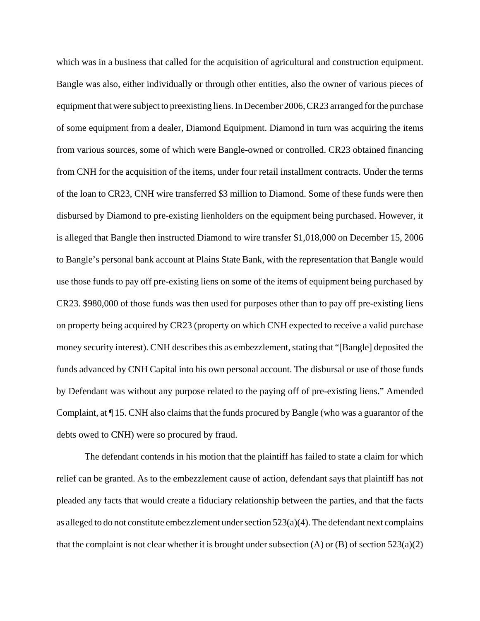which was in a business that called for the acquisition of agricultural and construction equipment. Bangle was also, either individually or through other entities, also the owner of various pieces of equipment that were subject to preexisting liens. In December 2006, CR23 arranged for the purchase of some equipment from a dealer, Diamond Equipment. Diamond in turn was acquiring the items from various sources, some of which were Bangle-owned or controlled. CR23 obtained financing from CNH for the acquisition of the items, under four retail installment contracts. Under the terms of the loan to CR23, CNH wire transferred \$3 million to Diamond. Some of these funds were then disbursed by Diamond to pre-existing lienholders on the equipment being purchased. However, it is alleged that Bangle then instructed Diamond to wire transfer \$1,018,000 on December 15, 2006 to Bangle's personal bank account at Plains State Bank, with the representation that Bangle would use those funds to pay off pre-existing liens on some of the items of equipment being purchased by CR23. \$980,000 of those funds was then used for purposes other than to pay off pre-existing liens on property being acquired by CR23 (property on which CNH expected to receive a valid purchase money security interest). CNH describes this as embezzlement, stating that "[Bangle] deposited the funds advanced by CNH Capital into his own personal account. The disbursal or use of those funds by Defendant was without any purpose related to the paying off of pre-existing liens." Amended Complaint, at ¶ 15. CNH also claims that the funds procured by Bangle (who was a guarantor of the debts owed to CNH) were so procured by fraud.

The defendant contends in his motion that the plaintiff has failed to state a claim for which relief can be granted. As to the embezzlement cause of action, defendant says that plaintiff has not pleaded any facts that would create a fiduciary relationship between the parties, and that the facts as alleged to do not constitute embezzlement under section 523(a)(4). The defendant next complains that the complaint is not clear whether it is brought under subsection  $(A)$  or  $(B)$  of section 523(a)(2)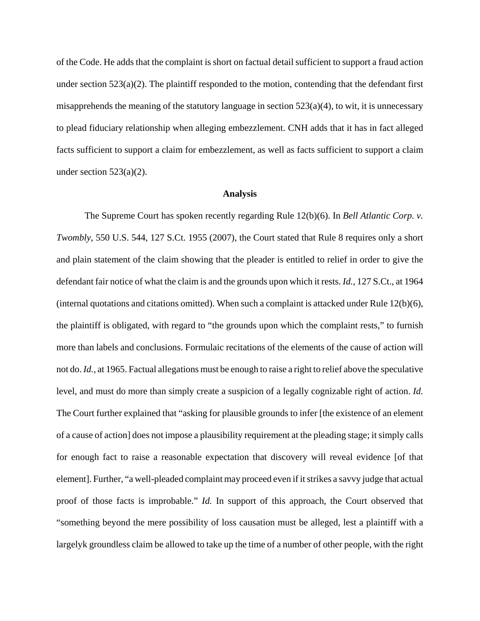of the Code. He adds that the complaint is short on factual detail sufficient to support a fraud action under section 523(a)(2). The plaintiff responded to the motion, contending that the defendant first misapprehends the meaning of the statutory language in section  $523(a)(4)$ , to wit, it is unnecessary to plead fiduciary relationship when alleging embezzlement. CNH adds that it has in fact alleged facts sufficient to support a claim for embezzlement, as well as facts sufficient to support a claim under section  $523(a)(2)$ .

#### **Analysis**

The Supreme Court has spoken recently regarding Rule 12(b)(6). In *Bell Atlantic Corp. v. Twombly*, 550 U.S. 544, 127 S.Ct. 1955 (2007), the Court stated that Rule 8 requires only a short and plain statement of the claim showing that the pleader is entitled to relief in order to give the defendant fair notice of what the claim is and the grounds upon which it rests. *Id.*, 127 S.Ct., at 1964 (internal quotations and citations omitted). When such a complaint is attacked under Rule 12(b)(6), the plaintiff is obligated, with regard to "the grounds upon which the complaint rests," to furnish more than labels and conclusions. Formulaic recitations of the elements of the cause of action will not do. *Id.*, at 1965. Factual allegations must be enough to raise a right to relief above the speculative level, and must do more than simply create a suspicion of a legally cognizable right of action. *Id.* The Court further explained that "asking for plausible grounds to infer [the existence of an element of a cause of action] does not impose a plausibility requirement at the pleading stage; it simply calls for enough fact to raise a reasonable expectation that discovery will reveal evidence [of that element]. Further, "a well-pleaded complaint may proceed even if it strikes a savvy judge that actual proof of those facts is improbable." *Id.* In support of this approach, the Court observed that "something beyond the mere possibility of loss causation must be alleged, lest a plaintiff with a largelyk groundless claim be allowed to take up the time of a number of other people, with the right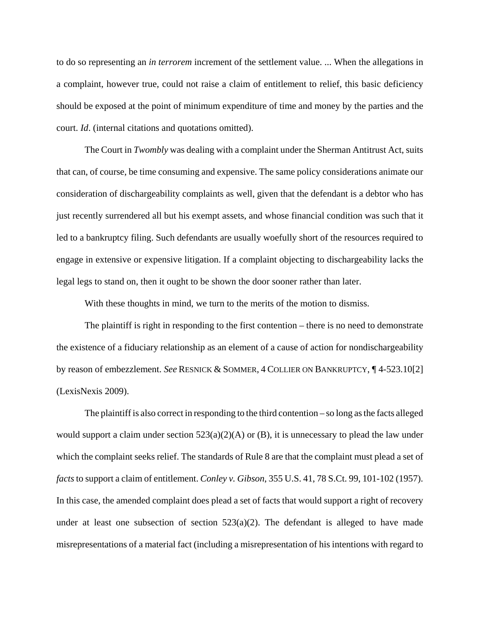to do so representing an *in terrorem* increment of the settlement value. ... When the allegations in a complaint, however true, could not raise a claim of entitlement to relief, this basic deficiency should be exposed at the point of minimum expenditure of time and money by the parties and the court. *Id*. (internal citations and quotations omitted).

The Court in *Twombly* was dealing with a complaint under the Sherman Antitrust Act, suits that can, of course, be time consuming and expensive. The same policy considerations animate our consideration of dischargeability complaints as well, given that the defendant is a debtor who has just recently surrendered all but his exempt assets, and whose financial condition was such that it led to a bankruptcy filing. Such defendants are usually woefully short of the resources required to engage in extensive or expensive litigation. If a complaint objecting to dischargeability lacks the legal legs to stand on, then it ought to be shown the door sooner rather than later.

With these thoughts in mind, we turn to the merits of the motion to dismiss.

The plaintiff is right in responding to the first contention – there is no need to demonstrate the existence of a fiduciary relationship as an element of a cause of action for nondischargeability by reason of embezzlement. *See* RESNICK & SOMMER, 4 COLLIER ON BANKRUPTCY, ¶ 4-523.10[2] (LexisNexis 2009).

The plaintiff is also correct in responding to the third contention – so long as the facts alleged would support a claim under section  $523(a)(2)(A)$  or (B), it is unnecessary to plead the law under which the complaint seeks relief. The standards of Rule 8 are that the complaint must plead a set of *facts* to support a claim of entitlement. *Conley v. Gibson*, 355 U.S. 41, 78 S.Ct. 99, 101-102 (1957). In this case, the amended complaint does plead a set of facts that would support a right of recovery under at least one subsection of section  $523(a)(2)$ . The defendant is alleged to have made misrepresentations of a material fact (including a misrepresentation of his intentions with regard to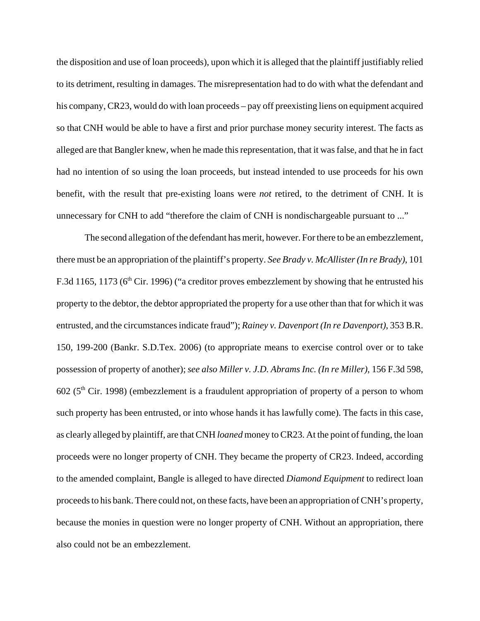the disposition and use of loan proceeds), upon which it is alleged that the plaintiff justifiably relied to its detriment, resulting in damages. The misrepresentation had to do with what the defendant and his company, CR23, would do with loan proceeds – pay off preexisting liens on equipment acquired so that CNH would be able to have a first and prior purchase money security interest. The facts as alleged are that Bangler knew, when he made this representation, that it was false, and that he in fact had no intention of so using the loan proceeds, but instead intended to use proceeds for his own benefit, with the result that pre-existing loans were *not* retired, to the detriment of CNH. It is unnecessary for CNH to add "therefore the claim of CNH is nondischargeable pursuant to ..."

The second allegation of the defendant has merit, however. For there to be an embezzlement, there must be an appropriation of the plaintiff's property. *See Brady v. McAllister (In re Brady)*, 101 F.3d 1165, 1173 ( $6<sup>th</sup>$  Cir. 1996) ("a creditor proves embezzlement by showing that he entrusted his property to the debtor, the debtor appropriated the property for a use other than that for which it was entrusted, and the circumstances indicate fraud"); *Rainey v. Davenport (In re Davenport)*, 353 B.R. 150, 199-200 (Bankr. S.D.Tex. 2006) (to appropriate means to exercise control over or to take possession of property of another); *see also Miller v. J.D. Abrams Inc. (In re Miller)*, 156 F.3d 598,  $602$  ( $5<sup>th</sup>$  Cir. 1998) (embezzlement is a fraudulent appropriation of property of a person to whom such property has been entrusted, or into whose hands it has lawfully come). The facts in this case, as clearly alleged by plaintiff, are that CNH *loaned* money to CR23. At the point of funding, the loan proceeds were no longer property of CNH. They became the property of CR23. Indeed, according to the amended complaint, Bangle is alleged to have directed *Diamond Equipment* to redirect loan proceeds to his bank. There could not, on these facts, have been an appropriation of CNH's property, because the monies in question were no longer property of CNH. Without an appropriation, there also could not be an embezzlement.